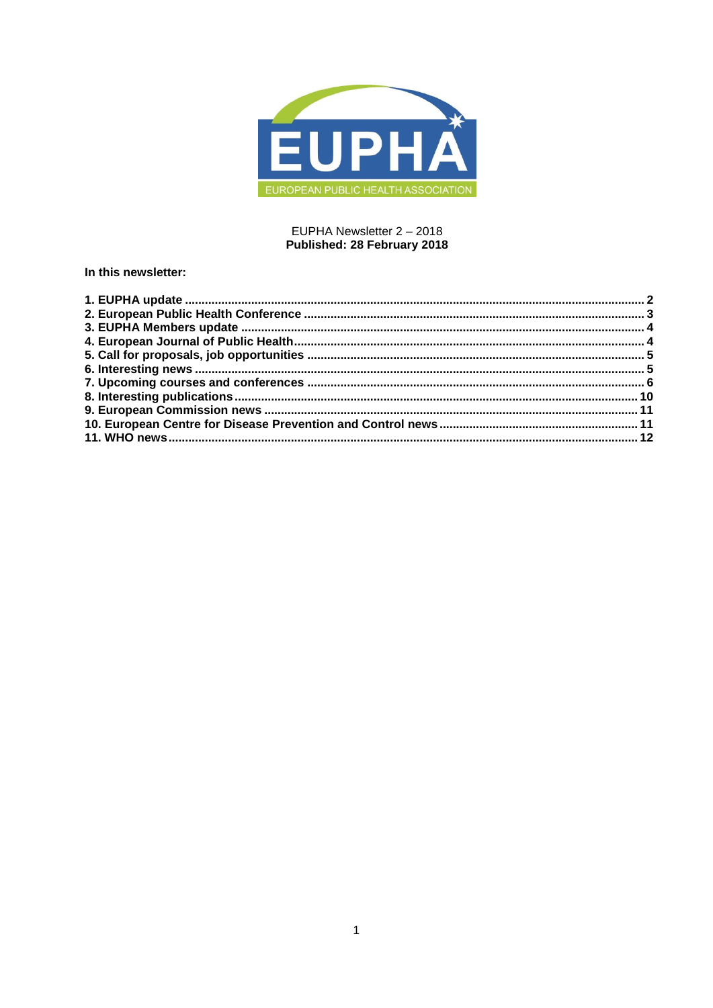

## EUPHA Newsletter 2 - 2018 Published: 28 February 2018

# In this newsletter: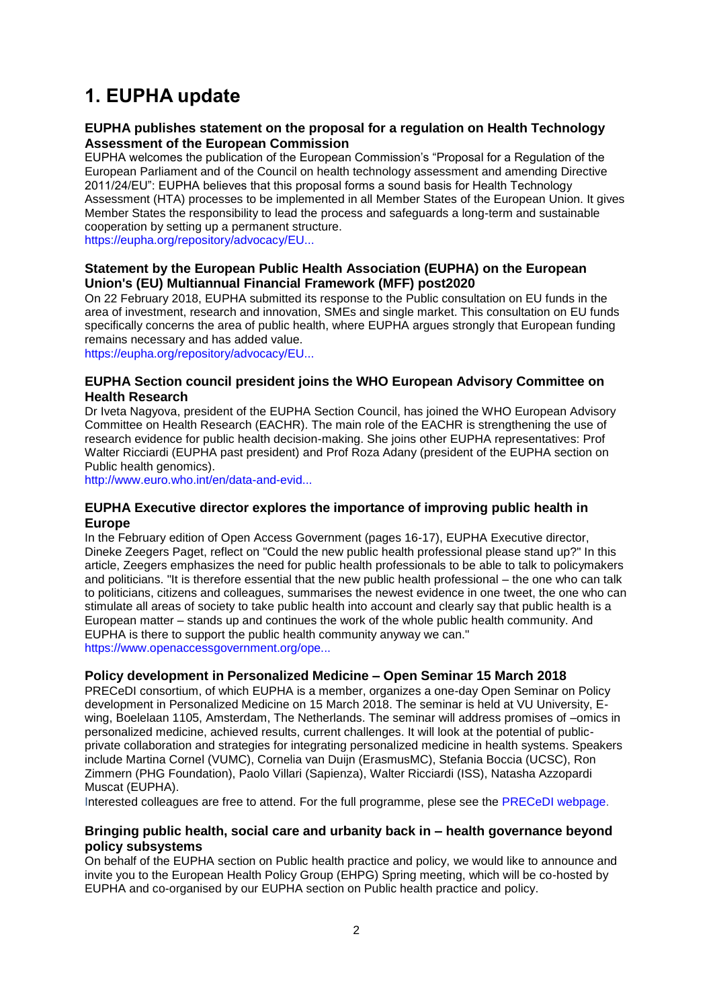# <span id="page-1-0"></span>**1. EUPHA update**

### **EUPHA publishes statement on the proposal for a regulation on Health Technology Assessment of the European Commission**

EUPHA welcomes the publication of the European Commission's "Proposal for a Regulation of the European Parliament and of the Council on health technology assessment and amending Directive 2011/24/EU": EUPHA believes that this proposal forms a sound basis for Health Technology Assessment (HTA) processes to be implemented in all Member States of the European Union. It gives Member States the responsibility to lead the process and safeguards a long-term and sustainable cooperation by setting up a permanent structure. [https://eupha.org/repository/advocacy/EU...](https://eupha.org/repository/advocacy/EUPH_Statement_on_EU_Commission_Legislative_Proposal_on_HTA.pdf)

**Statement by the European Public Health Association (EUPHA) on the European** 

# **Union's (EU) Multiannual Financial Framework (MFF) post2020**

On 22 February 2018, EUPHA submitted its response to the Public consultation on EU funds in the area of investment, research and innovation, SMEs and single market. This consultation on EU funds specifically concerns the area of public health, where EUPHA argues strongly that European funding remains necessary and has added value.

[https://eupha.org/repository/advocacy/EU...](https://eupha.org/repository/advocacy/EUPHA_statement_on_MFF.pdf)

# **EUPHA Section council president joins the WHO European Advisory Committee on Health Research**

Dr Iveta Nagyova, president of the EUPHA Section Council, has joined the WHO European Advisory Committee on Health Research (EACHR). The main role of the EACHR is strengthening the use of research evidence for public health decision-making. She joins other EUPHA representatives: Prof Walter Ricciardi (EUPHA past president) and Prof Roza Adany (president of the EUPHA section on Public health genomics).

[http://www.euro.who.int/en/data-and-evid...](http://www.euro.who.int/en/data-and-evidence/evidence-informed-policy-making/european-advisory-committee-on-health-research-eachr)

## **EUPHA Executive director explores the importance of improving public health in Europe**

In the February edition of Open Access Government (pages 16-17), EUPHA Executive director, Dineke Zeegers Paget, reflect on "Could the new public health professional please stand up?" In this article, Zeegers emphasizes the need for public health professionals to be able to talk to policymakers and politicians. "It is therefore essential that the new public health professional – the one who can talk to politicians, citizens and colleagues, summarises the newest evidence in one tweet, the one who can stimulate all areas of society to take public health into account and clearly say that public health is a European matter – stands up and continues the work of the whole public health community. And EUPHA is there to support the public health community anyway we can." [https://www.openaccessgovernment.org/ope...](https://www.openaccessgovernment.org/open-access-government-february-2018/41682/)

# **Policy development in Personalized Medicine – Open Seminar 15 March 2018**

PRECeDI consortium, of which EUPHA is a member, organizes a one-day Open Seminar on Policy development in Personalized Medicine on 15 March 2018. The seminar is held at VU University, Ewing, Boelelaan 1105, Amsterdam, The Netherlands. The seminar will address promises of –omics in personalized medicine, achieved results, current challenges. It will look at the potential of publicprivate collaboration and strategies for integrating personalized medicine in health systems. Speakers include Martina Cornel (VUMC), Cornelia van Duijn (ErasmusMC), Stefania Boccia (UCSC), Ron Zimmern (PHG Foundation), Paolo Villari (Sapienza), Walter Ricciardi (ISS), Natasha Azzopardi Muscat (EUPHA).

Interested colleagues are free to attend. For the full programme, plese see the [PRECeDI webpage.](https://eupha.org/precedi)

## **Bringing public health, social care and urbanity back in – health governance beyond policy subsystems**

On behalf of the EUPHA section on Public health practice and policy, we would like to announce and invite you to the European Health Policy Group (EHPG) Spring meeting, which will be co-hosted by EUPHA and co-organised by our EUPHA section on Public health practice and policy.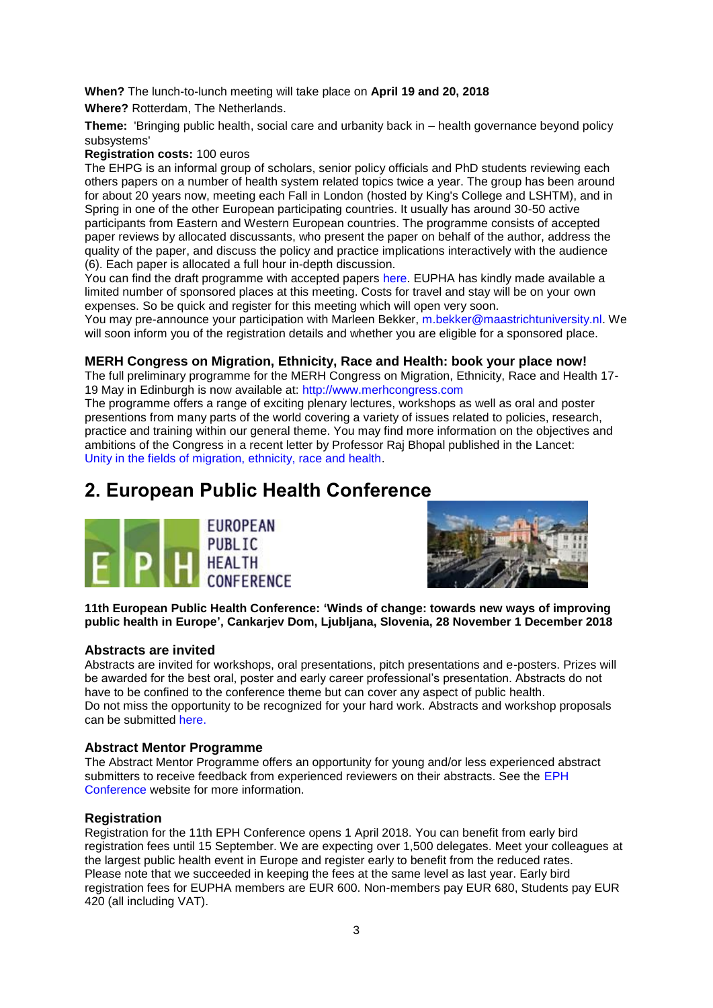**When?** The lunch-to-lunch meeting will take place on **April 19 and 20, 2018 Where?** Rotterdam, The Netherlands.

**Theme:** 'Bringing public health, social care and urbanity back in – health governance beyond policy subsystems'

**Registration costs:** 100 euros

The EHPG is an informal group of scholars, senior policy officials and PhD students reviewing each others papers on a number of health system related topics twice a year. The group has been around for about 20 years now, meeting each Fall in London (hosted by King's College and LSHTM), and in Spring in one of the other European participating countries. It usually has around 30-50 active participants from Eastern and Western European countries. The programme consists of accepted paper reviews by allocated discussants, who present the paper on behalf of the author, address the quality of the paper, and discuss the policy and practice implications interactively with the audience (6). Each paper is allocated a full hour in-depth discussion.

You can find the draft programme with accepted papers [here.](https://eupha.org/section_page.php?section_page=170) EUPHA has kindly made available a limited number of sponsored places at this meeting. Costs for travel and stay will be on your own expenses. So be quick and register for this meeting which will open very soon.

You may pre-announce your participation with Marleen Bekker, [m.bekker@maastrichtuniversity.nl.](mailto:m.bekker@maastrichtuniversity.nl) We will soon inform you of the registration details and whether you are eligible for a sponsored place.

## **MERH Congress on Migration, Ethnicity, Race and Health: book your place now!**

The full preliminary programme for the MERH Congress on Migration, Ethnicity, Race and Health 17- 19 May in Edinburgh is now available at: [http://www.merhcongress.com](http://www.merhcongress.com/)

The programme offers a range of exciting plenary lectures, workshops as well as oral and poster presentions from many parts of the world covering a variety of issues related to policies, research, practice and training within our general theme. You may find more information on the objectives and ambitions of the Congress in a recent letter by Professor Raj Bhopal published in the Lancet: [Unity in the fields of migration, ethnicity, race and health.](http://lancet-alerts.elsevier.com/cgi-bin23/DM/x/nBI1g0ImPEI0ZlS0Bd1IQ0Eu)

# <span id="page-2-0"></span>**2. European Public Health Conference**





**11th European Public Health Conference: 'Winds of change: towards new ways of improving public health in Europe', Cankarjev Dom, Ljubljana, Slovenia, 28 November 1 December 2018**

#### **Abstracts are invited**

Abstracts are invited for workshops, oral presentations, pitch presentations and e-posters. Prizes will be awarded for the best oral, poster and early career professional's presentation. Abstracts do not have to be confined to the conference theme but can cover any aspect of public health. Do not miss the opportunity to be recognized for your hard work. Abstracts and workshop proposals can be submitted [here.](https://ephconference.eu/ljubljana-2018-abstract-submission-78)

#### **Abstract Mentor Programme**

The Abstract Mentor Programme offers an opportunity for young and/or less experienced abstract submitters to receive feedback from experienced reviewers on their abstracts. See the [EPH](https://ephconference.eu/abstract-mentor-programme-79)  [Conference](https://ephconference.eu/abstract-mentor-programme-79) website for more information.

#### **Registration**

Registration for the 11th EPH Conference opens 1 April 2018. You can benefit from early bird registration fees until 15 September. We are expecting over 1,500 delegates. Meet your colleagues at the largest public health event in Europe and register early to benefit from the reduced rates. Please note that we succeeded in keeping the fees at the same level as last year. Early bird registration fees for EUPHA members are EUR 600. Non-members pay EUR 680, Students pay EUR 420 (all including VAT).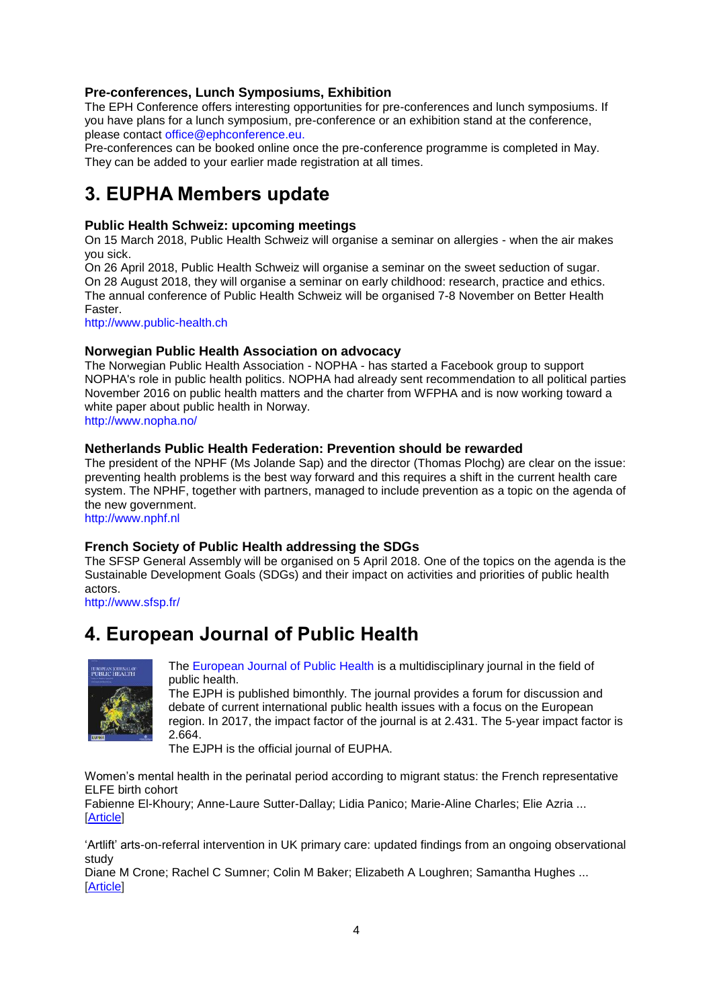# **Pre-conferences, Lunch Symposiums, Exhibition**

The EPH Conference offers interesting opportunities for pre-conferences and lunch symposiums. If you have plans for a lunch symposium, pre-conference or an exhibition stand at the conference, please contact [office@ephconference.eu.](mailto:office@ephconference.eu)

Pre-conferences can be booked online once the pre-conference programme is completed in May. They can be added to your earlier made registration at all times.

# <span id="page-3-0"></span>**3. EUPHA Members update**

# **Public Health Schweiz: upcoming meetings**

On 15 March 2018, Public Health Schweiz will organise a seminar on allergies - when the air makes you sick.

On 26 April 2018, Public Health Schweiz will organise a seminar on the sweet seduction of sugar. On 28 August 2018, they will organise a seminar on early childhood: research, practice and ethics. The annual conference of Public Health Schweiz will be organised 7-8 November on Better Health Faster.

[http://www.public-health.ch](http://www.public-health.ch/)

## **Norwegian Public Health Association on advocacy**

The Norwegian Public Health Association - NOPHA - has started a Facebook group to support NOPHA's role in public health politics. NOPHA had already sent recommendation to all political parties November 2016 on public health matters and the charter from WFPHA and is now working toward a white paper about public health in Norway.

<http://www.nopha.no/>

## **Netherlands Public Health Federation: Prevention should be rewarded**

The president of the NPHF (Ms Jolande Sap) and the director (Thomas Plochg) are clear on the issue: preventing health problems is the best way forward and this requires a shift in the current health care system. The NPHF, together with partners, managed to include prevention as a topic on the agenda of the new government.

[http://www.nphf.nl](http://www.nphf.nl/)

#### **French Society of Public Health addressing the SDGs**

The SFSP General Assembly will be organised on 5 April 2018. One of the topics on the agenda is the Sustainable Development Goals (SDGs) and their impact on activities and priorities of public health actors.

<http://www.sfsp.fr/>

# <span id="page-3-1"></span>**4. European Journal of Public Health**



[The European Journal of Public Health](http://eurpub.oxfordjournals.org/) is a multidisciplinary journal in the field of public health.

The EJPH is published bimonthly. The journal provides a forum for discussion and debate of current international public health issues with a focus on the European region. In 2017, the impact factor of the journal is at 2.431. The 5-year impact factor is 2.664.

The EJPH is the official journal of EUPHA.

[Women's mental health in the perinatal period according to migrant status: the French representative](https://academic.oup.com/eurpub/advance-article/doi/10.1093/eurpub/cky008/4904078)  [ELFE birth cohort](https://academic.oup.com/eurpub/advance-article/doi/10.1093/eurpub/cky008/4904078)

[Fabienne El-Khoury;](https://academic.oup.com/eurpub/search-results?f_Authors=Fabienne+El-Khoury) [Anne-Laure Sutter-Dallay;](https://academic.oup.com/eurpub/search-results?f_Authors=Anne-Laure+Sutter-Dallay) [Lidia Panico;](https://academic.oup.com/eurpub/search-results?f_Authors=Lidia+Panico) [Marie-Aline Charles;](https://academic.oup.com/eurpub/search-results?f_Authors=Marie-Aline+Charles) [Elie Azria](https://academic.oup.com/eurpub/search-results?f_Authors=Elie+Azria) ... [\[Article\]](https://academic.oup.com/eurpub/advance-article/doi/10.1093/eurpub/cky008/4904078)

['Artlift' arts-on-referral intervention in UK primary care: updated findings from an ongoing observational](https://academic.oup.com/eurpub/advance-article/doi/10.1093/eurpub/cky021/4866827)  [study](https://academic.oup.com/eurpub/advance-article/doi/10.1093/eurpub/cky021/4866827)

[Diane M Crone;](https://academic.oup.com/eurpub/search-results?f_Authors=Diane+M+Crone) [Rachel C Sumner;](https://academic.oup.com/eurpub/search-results?f_Authors=Rachel+C+Sumner) [Colin M](https://academic.oup.com/eurpub/search-results?f_Authors=Colin+M+Baker) Baker; [Elizabeth A Loughren;](https://academic.oup.com/eurpub/search-results?f_Authors=Elizabeth+A+Loughren) [Samantha Hughes](https://academic.oup.com/eurpub/search-results?f_Authors=Samantha+Hughes) ... [\[Article\]](https://academic.oup.com/eurpub/advance-article/doi/10.1093/eurpub/cky021/4866827)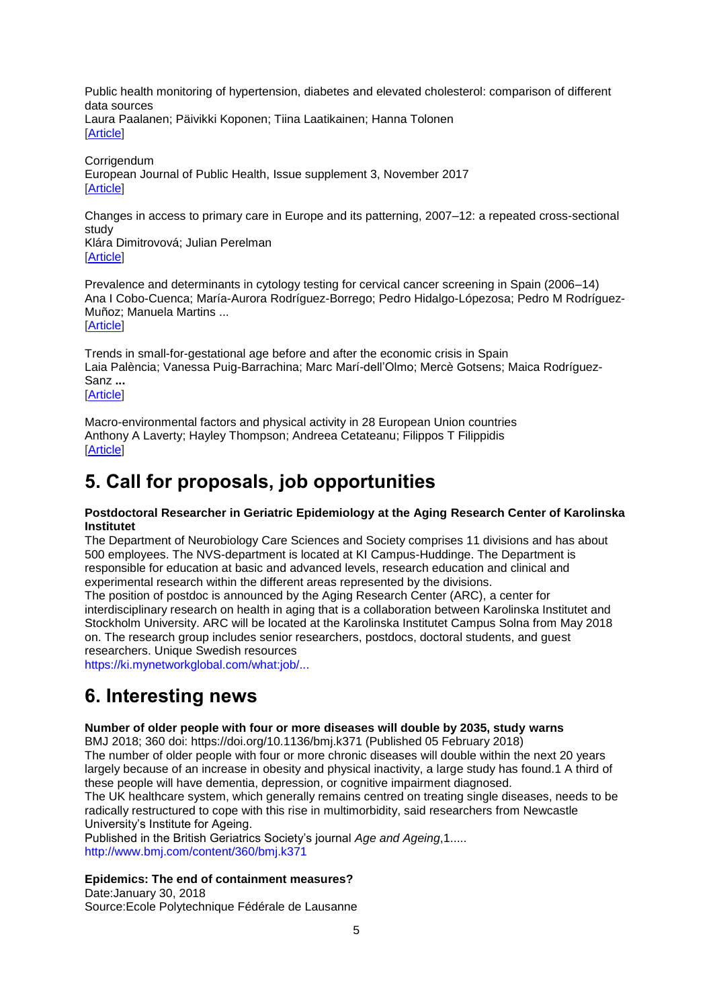[Public health monitoring of hypertension, diabetes and elevated cholesterol: comparison of different](https://academic.oup.com/eurpub/advance-article/doi/10.1093/eurpub/cky020/4866826)  [data sources](https://academic.oup.com/eurpub/advance-article/doi/10.1093/eurpub/cky020/4866826) [Laura Paalanen;](https://academic.oup.com/eurpub/search-results?f_Authors=Laura+Paalanen) [Päivikki Koponen;](https://academic.oup.com/eurpub/search-results?f_Authors=P%c3%a4ivikki+Koponen) [Tiina Laatikainen;](https://academic.oup.com/eurpub/search-results?f_Authors=Tiina+Laatikainen) [Hanna Tolonen](https://academic.oup.com/eurpub/search-results?f_Authors=Hanna+Tolonen) [\[Article\]](https://academic.oup.com/eurpub/advance-article/doi/10.1093/eurpub/cky020/4866826)

**[Corrigendum](https://academic.oup.com/eurpub/advance-article/doi/10.1093/eurpub/cky011/4855958)** European Journal of Public Health, Issue supplement 3, November 2017 [\[Article\]](https://academic.oup.com/eurpub/advance-article/doi/10.1093/eurpub/cky011/4855958)

[Changes in access to primary care in Europe and its patterning, 2007–12: a repeated cross-sectional](https://academic.oup.com/eurpub/advance-article/doi/10.1093/eurpub/cky019/4857223)  [study](https://academic.oup.com/eurpub/advance-article/doi/10.1093/eurpub/cky019/4857223)

[Klára Dimitrovová;](https://academic.oup.com/eurpub/search-results?f_Authors=Kl%c3%a1ra+Dimitrovov%c3%a1) [Julian Perelman](https://academic.oup.com/eurpub/search-results?f_Authors=Julian+Perelman) [\[Article\]](https://academic.oup.com/eurpub/advance-article/doi/10.1093/eurpub/cky019/4857223)

[Prevalence and determinants in cytology testing for cervical cancer screening in Spain \(2006–14\)](https://academic.oup.com/eurpub/advance-article/doi/10.1093/eurpub/cky015/4851227) [Ana I Cobo-Cuenca;](https://academic.oup.com/eurpub/search-results?f_Authors=Ana+I+Cobo-Cuenca) [María-Aurora Rodríguez-Borrego;](https://academic.oup.com/eurpub/search-results?f_Authors=Mar%c3%ada-Aurora+Rodr%c3%adguez-Borrego) [Pedro Hidalgo-Lópezosa;](https://academic.oup.com/eurpub/search-results?f_Authors=Pedro+Hidalgo-L%c3%b3pezosa) [Pedro M Rodríguez-](https://academic.oup.com/eurpub/search-results?f_Authors=Pedro+M+Rodr%c3%adguez-Mu%c3%b1oz)[Muñoz;](https://academic.oup.com/eurpub/search-results?f_Authors=Pedro+M+Rodr%c3%adguez-Mu%c3%b1oz) [Manuela Martins](https://academic.oup.com/eurpub/search-results?f_Authors=Manuela+Martins) ... **[\[Article\]](https://academic.oup.com/eurpub/advance-article/doi/10.1093/eurpub/cky015/4851227)** 

[Trends in small-for-gestational age before and after the economic crisis in Spain](https://academic.oup.com/eurpub/advance-article/doi/10.1093/eurpub/cky017/4850508) [Laia Palència;](https://academic.oup.com/eurpub/search-results?f_Authors=Laia+Pal%c3%a8ncia) [Vanessa Puig-Barrachina;](https://academic.oup.com/eurpub/search-results?f_Authors=Vanessa+Puig-Barrachina) [Marc Marí-dell'Olmo;](https://academic.oup.com/eurpub/search-results?f_Authors=Marc+Mar%c3%ad-dell%e2%80%99Olmo) [Mercè Gotsens;](https://academic.oup.com/eurpub/search-results?f_Authors=Merc%c3%a8+Gotsens) [Maica Rodríguez-](https://academic.oup.com/eurpub/search-results?f_Authors=Maica+Rodr%c3%adguez-Sanz)[Sanz](https://academic.oup.com/eurpub/search-results?f_Authors=Maica+Rodr%c3%adguez-Sanz) **...** [\[Article\]](https://academic.oup.com/eurpub/advance-article/doi/10.1093/eurpub/cky017/4850508)

[Macro-environmental factors and physical activity in 28 European Union countries](https://academic.oup.com/eurpub/advance-article/doi/10.1093/eurpub/cky014/4850507) [Anthony A Laverty;](https://academic.oup.com/eurpub/search-results?f_Authors=Anthony+A+Laverty) [Hayley Thompson;](https://academic.oup.com/eurpub/search-results?f_Authors=Hayley+Thompson) [Andreea Cetateanu;](https://academic.oup.com/eurpub/search-results?f_Authors=Andreea+Cetateanu) [Filippos T Filippidis](https://academic.oup.com/eurpub/search-results?f_Authors=Filippos+T+Filippidis) [\[Article\]](https://academic.oup.com/eurpub/advance-article/doi/10.1093/eurpub/cky014/4850507)

# <span id="page-4-0"></span>**5. Call for proposals, job opportunities**

#### **Postdoctoral Researcher in Geriatric Epidemiology at the Aging Research Center of Karolinska Institutet**

The Department of Neurobiology Care Sciences and Society comprises 11 divisions and has about 500 employees. The NVS-department is located at KI Campus-Huddinge. The Department is responsible for education at basic and advanced levels, research education and clinical and experimental research within the different areas represented by the divisions.

The position of postdoc is announced by the Aging Research Center (ARC), a center for interdisciplinary research on health in aging that is a collaboration between Karolinska Institutet and Stockholm University. ARC will be located at the Karolinska Institutet Campus Solna from May 2018 on. The research group includes senior researchers, postdocs, doctoral students, and guest researchers. Unique Swedish resources

[https://ki.mynetworkglobal.com/what:job/...](https://ki.mynetworkglobal.com/what:job/jobID:194160)

# <span id="page-4-1"></span>**6. Interesting news**

# **Number of older people with four or more diseases will double by 2035, study warns**

BMJ 2018; 360 doi: https://doi.org/10.1136/bmj.k371 (Published 05 February 2018) The number of older people with four or more chronic diseases will double within the next 20 years largely because of an increase in obesity and physical inactivity, a large study has found.1 A third of these people will have dementia, depression, or cognitive impairment diagnosed.

The UK healthcare system, which generally remains centred on treating single diseases, needs to be radically restructured to cope with this rise in multimorbidity, said researchers from Newcastle University's Institute for Ageing.

Published in the British Geriatrics Society's journal *Age and Ageing*,1..... [http://www.bmj.com/content/360/bmj.k371](http://www.bmj.com/content/360/bmj.k371?utm_medium=email&utm_campaign_name=20180237&utm_source=etoc_daily)

#### **Epidemics: The end of containment measures?**

Date:January 30, 2018 Source:Ecole Polytechnique Fédérale de Lausanne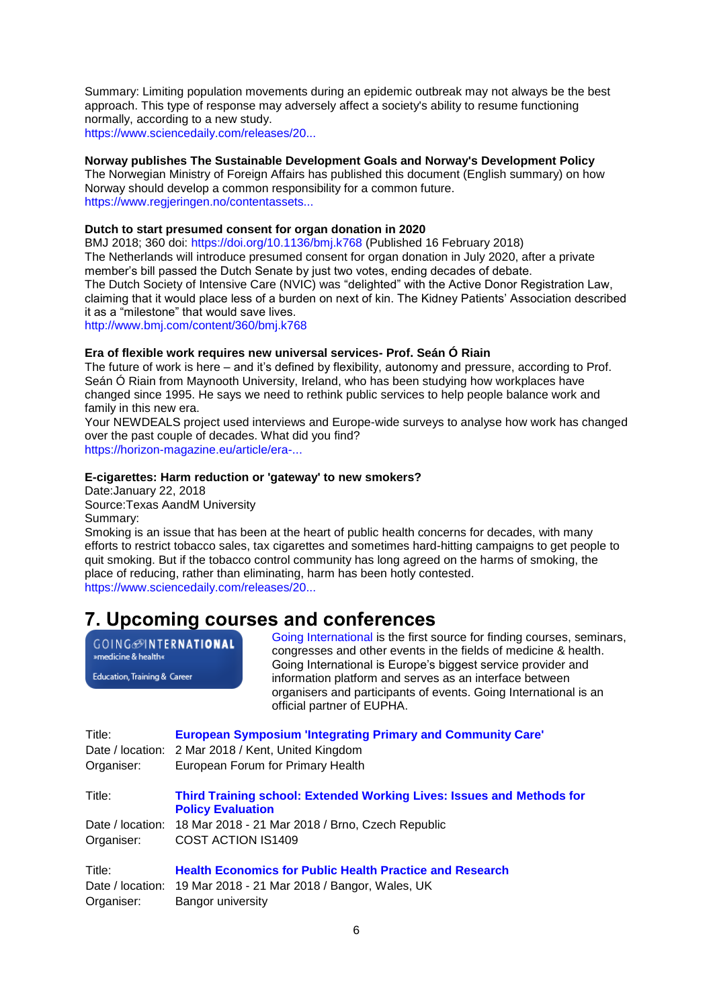Summary: Limiting population movements during an epidemic outbreak may not always be the best approach. This type of response may adversely affect a society's ability to resume functioning normally, according to a new study. [https://www.sciencedaily.com/releases/20...](https://www.sciencedaily.com/releases/2018/01/180130090846.htm?utm_source=feedburner&utm_medium=email&utm_campaign=Feed%3A+sciencedaily%2Fscience_society%2Fpublic_health+%28Public+Health+News+--+Scien)

#### **Norway publishes The Sustainable Development Goals and Norway's Development Policy**

The Norwegian Ministry of Foreign Affairs has published this document (English summary) on how Norway should develop a common responsibility for a common future. [https://www.regjeringen.no/contentassets...](https://www.regjeringen.no/contentassets/217f38f99edf45c498befc04b7ef1f7e/en-gb/pdfs/stm201620170024000engpdfs.pdf)

#### **Dutch to start presumed consent for organ donation in 2020**

BMJ 2018; 360 doi:<https://doi.org/10.1136/bmj.k768> (Published 16 February 2018) The Netherlands will introduce presumed consent for organ donation in July 2020, after a private member's bill passed the Dutch Senate by just two votes, ending decades of debate. The Dutch Society of Intensive Care (NVIC) was "delighted" with the Active Donor Registration Law, claiming that it would place less of a burden on next of kin. The Kidney Patients' Association described it as a "milestone" that would save lives. [http://www.bmj.com/content/360/bmj.k768](http://www.bmj.com/content/360/bmj.k768?utm_medium=email&utm_campaign_name=20180248&utm_source=etoc_daily)

**Era of flexible work requires new universal services- Prof. Seán Ó Riain**

The future of work is here – and it's defined by flexibility, autonomy and pressure, according to Prof. Seán Ó Riain from Maynooth University, Ireland, who has been studying how workplaces have changed since 1995. He says we need to rethink public services to help people balance work and family in this new era.

Your NEWDEALS project used interviews and Europe-wide surveys to analyse how work has changed over the past couple of decades. What did you find?

[https://horizon-magazine.eu/article/era-...](https://horizon-magazine.eu/article/era-flexible-work-requires-new-universal-services-prof-se-n-riain_en.html?utm_source=HORIZON&utm_campaign=54129c5d06-EMAIL_CAMPAIGN_2018_02_23&utm_medium=email&utm_)

#### **E-cigarettes: Harm reduction or 'gateway' to new smokers?**

Date:January 22, 2018 Source:Texas AandM University Summary:

Smoking is an issue that has been at the heart of public health concerns for decades, with many efforts to restrict tobacco sales, tax cigarettes and sometimes hard-hitting campaigns to get people to quit smoking. But if the tobacco control community has long agreed on the harms of smoking, the place of reducing, rather than eliminating, harm has been hotly contested. [https://www.sciencedaily.com/releases/20...](https://www.sciencedaily.com/releases/2018/01/180122171300.htm?utm_source=feedburner&utm_medium=email&utm_campaign=Feed%3A+sciencedaily%2Fscience_society%2Fpublic_health+%28Public+Health+News+--+Scien)

# <span id="page-5-0"></span>**7. Upcoming courses and conferences**

**GOING**@INTERNATIONAL »medicine & health« Education, Training & Career

[Going International](http://www.goinginternational.eu/) is the first source for finding courses, seminars, congresses and other events in the fields of medicine & health. Going International is Europe's biggest service provider and information platform and serves as an interface between organisers and participants of events. Going International is an official partner of EUPHA.

| Title:     | <b>European Symposium 'Integrating Primary and Community Care'</b>                                       |
|------------|----------------------------------------------------------------------------------------------------------|
|            | Date / location: 2 Mar 2018 / Kent, United Kingdom                                                       |
| Organiser: | European Forum for Primary Health                                                                        |
| Title:     | <b>Third Training school: Extended Working Lives: Issues and Methods for</b><br><b>Policy Evaluation</b> |
|            | Date / location: 18 Mar 2018 - 21 Mar 2018 / Brno, Czech Republic                                        |
| Organiser: | COST ACTION IS1409                                                                                       |
| Title:     | <b>Health Economics for Public Health Practice and Research</b>                                          |
|            | Date / location: 19 Mar 2018 - 21 Mar 2018 / Bangor, Wales, UK                                           |
| Organiser: | Bangor university                                                                                        |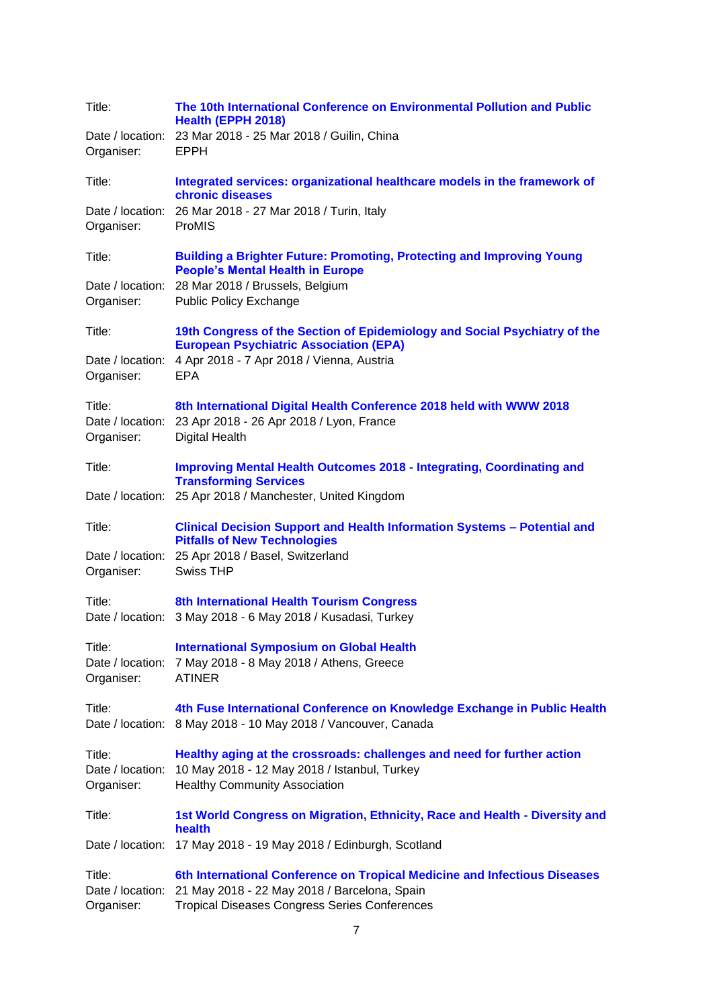| Title:<br>Organiser:                     | The 10th International Conference on Environmental Pollution and Public<br>Health (EPPH 2018)<br>Date / location: 23 Mar 2018 - 25 Mar 2018 / Guilin, China<br><b>EPPH</b>        |
|------------------------------------------|-----------------------------------------------------------------------------------------------------------------------------------------------------------------------------------|
| Title:                                   | Integrated services: organizational healthcare models in the framework of<br>chronic diseases                                                                                     |
| Date / location:<br>Organiser:           | 26 Mar 2018 - 27 Mar 2018 / Turin, Italy<br>ProMIS                                                                                                                                |
| Title:                                   | <b>Building a Brighter Future: Promoting, Protecting and Improving Young</b><br><b>People's Mental Health in Europe</b>                                                           |
| Organiser:                               | Date / location: 28 Mar 2018 / Brussels, Belgium<br><b>Public Policy Exchange</b>                                                                                                 |
| Title:                                   | 19th Congress of the Section of Epidemiology and Social Psychiatry of the<br><b>European Psychiatric Association (EPA)</b>                                                        |
| Date / location:<br>Organiser:           | 4 Apr 2018 - 7 Apr 2018 / Vienna, Austria<br><b>EPA</b>                                                                                                                           |
| Title:<br>Organiser:                     | 8th International Digital Health Conference 2018 held with WWW 2018<br>Date / location: 23 Apr 2018 - 26 Apr 2018 / Lyon, France<br><b>Digital Health</b>                         |
| Title:                                   | <b>Improving Mental Health Outcomes 2018 - Integrating, Coordinating and</b><br><b>Transforming Services</b>                                                                      |
|                                          | Date / location: 25 Apr 2018 / Manchester, United Kingdom                                                                                                                         |
| Title:                                   | <b>Clinical Decision Support and Health Information Systems - Potential and</b><br><b>Pitfalls of New Technologies</b>                                                            |
| Date / location:<br>Organiser:           | 25 Apr 2018 / Basel, Switzerland<br>Swiss THP                                                                                                                                     |
| Title:                                   | 8th International Health Tourism Congress<br>Date / location: 3 May 2018 - 6 May 2018 / Kusadasi, Turkey                                                                          |
| Title:<br>Organiser:                     | <b>International Symposium on Global Health</b><br>Date / location: 7 May 2018 - 8 May 2018 / Athens, Greece<br><b>ATINER</b>                                                     |
| Title:<br>Date / location:               | 4th Fuse International Conference on Knowledge Exchange in Public Health<br>8 May 2018 - 10 May 2018 / Vancouver, Canada                                                          |
| Title:<br>Date / location:<br>Organiser: | Healthy aging at the crossroads: challenges and need for further action<br>10 May 2018 - 12 May 2018 / Istanbul, Turkey<br><b>Healthy Community Association</b>                   |
| Title:                                   | 1st World Congress on Migration, Ethnicity, Race and Health - Diversity and<br>health                                                                                             |
| Date / location:                         | 17 May 2018 - 19 May 2018 / Edinburgh, Scotland                                                                                                                                   |
| Title:<br>Date / location:<br>Organiser: | 6th International Conference on Tropical Medicine and Infectious Diseases<br>21 May 2018 - 22 May 2018 / Barcelona, Spain<br><b>Tropical Diseases Congress Series Conferences</b> |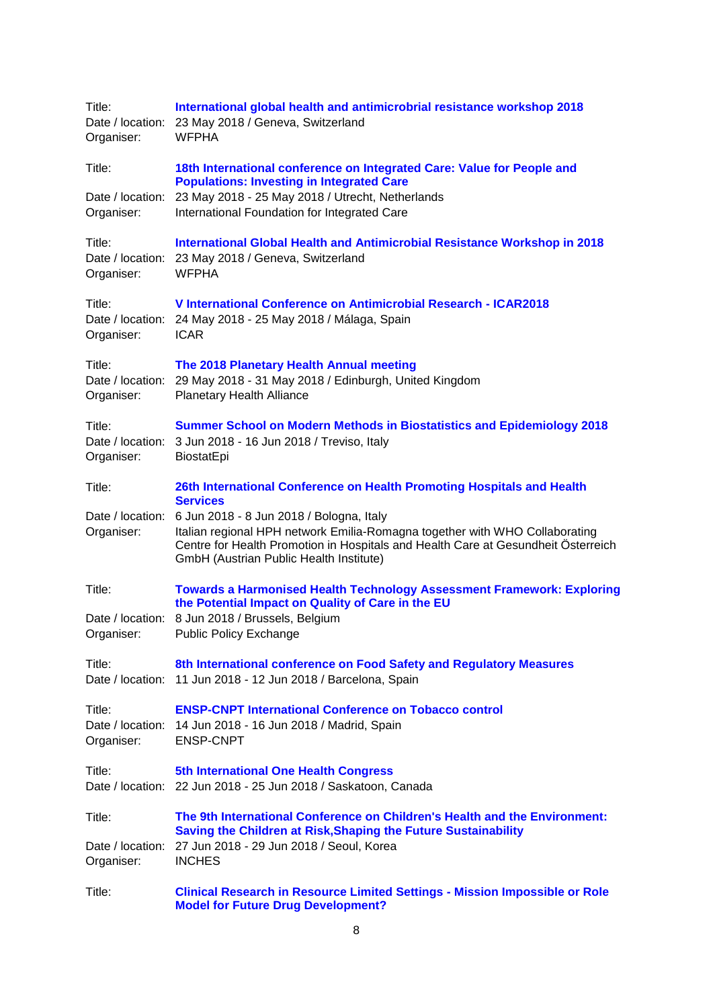| Title:<br>Organiser:                     | International global health and antimicrobrial resistance workshop 2018<br>Date / location: 23 May 2018 / Geneva, Switzerland<br><b>WFPHA</b>                                                                                                           |  |
|------------------------------------------|---------------------------------------------------------------------------------------------------------------------------------------------------------------------------------------------------------------------------------------------------------|--|
| Title:                                   | 18th International conference on Integrated Care: Value for People and<br><b>Populations: Investing in Integrated Care</b>                                                                                                                              |  |
| Date / location:<br>Organiser:           | 23 May 2018 - 25 May 2018 / Utrecht, Netherlands<br>International Foundation for Integrated Care                                                                                                                                                        |  |
| Title:<br>Date / location:<br>Organiser: | International Global Health and Antimicrobial Resistance Workshop in 2018<br>23 May 2018 / Geneva, Switzerland<br><b>WFPHA</b>                                                                                                                          |  |
| Title:<br>Organiser:                     | V International Conference on Antimicrobial Research - ICAR2018<br>Date / location: 24 May 2018 - 25 May 2018 / Málaga, Spain<br><b>ICAR</b>                                                                                                            |  |
| Title:<br>Date / location:<br>Organiser: | The 2018 Planetary Health Annual meeting<br>29 May 2018 - 31 May 2018 / Edinburgh, United Kingdom<br><b>Planetary Health Alliance</b>                                                                                                                   |  |
| Title:<br>Date / location:<br>Organiser: | <b>Summer School on Modern Methods in Biostatistics and Epidemiology 2018</b><br>3 Jun 2018 - 16 Jun 2018 / Treviso, Italy<br>BiostatEpi                                                                                                                |  |
| Title:                                   | 26th International Conference on Health Promoting Hospitals and Health<br><b>Services</b>                                                                                                                                                               |  |
| Date / location:<br>Organiser:           | 6 Jun 2018 - 8 Jun 2018 / Bologna, Italy<br>Italian regional HPH network Emilia-Romagna together with WHO Collaborating<br>Centre for Health Promotion in Hospitals and Health Care at Gesundheit Österreich<br>GmbH (Austrian Public Health Institute) |  |
| Title:                                   | <b>Towards a Harmonised Health Technology Assessment Framework: Exploring</b><br>the Potential Impact on Quality of Care in the EU                                                                                                                      |  |
| Date / location:<br>Organiser:           | 8 Jun 2018 / Brussels, Belgium<br><b>Public Policy Exchange</b>                                                                                                                                                                                         |  |
| Title:                                   | 8th International conference on Food Safety and Regulatory Measures<br>Date / location: 11 Jun 2018 - 12 Jun 2018 / Barcelona, Spain                                                                                                                    |  |
| Title:<br>Organiser:                     | <b>ENSP-CNPT International Conference on Tobacco control</b><br>Date / location: 14 Jun 2018 - 16 Jun 2018 / Madrid, Spain<br><b>ENSP-CNPT</b>                                                                                                          |  |
| Title:                                   | <b>5th International One Health Congress</b><br>Date / location: 22 Jun 2018 - 25 Jun 2018 / Saskatoon, Canada                                                                                                                                          |  |
| Title:                                   | The 9th International Conference on Children's Health and the Environment:<br>Saving the Children at Risk, Shaping the Future Sustainability<br>Date / location: 27 Jun 2018 - 29 Jun 2018 / Seoul, Korea<br><b>INCHES</b>                              |  |
| Organiser:                               |                                                                                                                                                                                                                                                         |  |
| Title:                                   | <b>Clinical Research in Resource Limited Settings - Mission Impossible or Role</b><br><b>Model for Future Drug Development?</b>                                                                                                                         |  |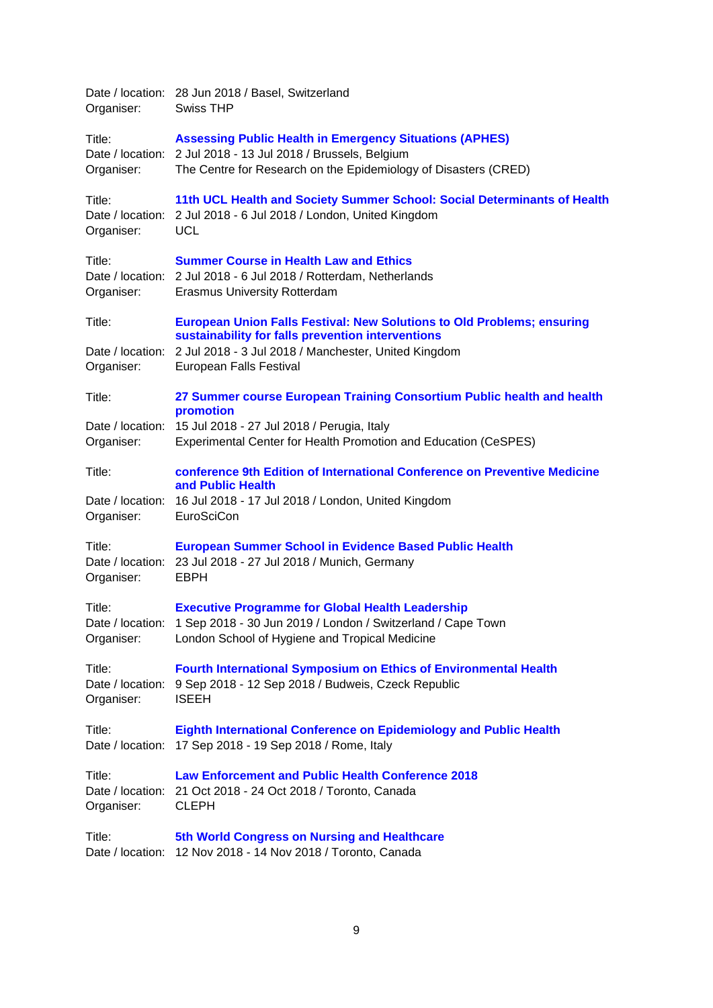| Organiser:                               | Date / location: 28 Jun 2018 / Basel, Switzerland<br><b>Swiss THP</b>                                                                                                                                                                  |
|------------------------------------------|----------------------------------------------------------------------------------------------------------------------------------------------------------------------------------------------------------------------------------------|
| Title:<br>Organiser:                     | <b>Assessing Public Health in Emergency Situations (APHES)</b><br>Date / location: 2 Jul 2018 - 13 Jul 2018 / Brussels, Belgium<br>The Centre for Research on the Epidemiology of Disasters (CRED)                                     |
| Title:<br>Organiser:                     | 11th UCL Health and Society Summer School: Social Determinants of Health<br>Date / location: 2 Jul 2018 - 6 Jul 2018 / London, United Kingdom<br><b>UCL</b>                                                                            |
| Title:<br>Organiser:                     | <b>Summer Course in Health Law and Ethics</b><br>Date / location: 2 Jul 2018 - 6 Jul 2018 / Rotterdam, Netherlands<br><b>Erasmus University Rotterdam</b>                                                                              |
| Title:<br>Organiser:                     | <b>European Union Falls Festival: New Solutions to Old Problems; ensuring</b><br>sustainability for falls prevention interventions<br>Date / location: 2 Jul 2018 - 3 Jul 2018 / Manchester, United Kingdom<br>European Falls Festival |
| Title:<br>Date / location:<br>Organiser: | 27 Summer course European Training Consortium Public health and health<br>promotion<br>15 Jul 2018 - 27 Jul 2018 / Perugia, Italy<br>Experimental Center for Health Promotion and Education (CeSPES)                                   |
| Title:<br>Organiser:                     | conference 9th Edition of International Conference on Preventive Medicine<br>and Public Health<br>Date / location: 16 Jul 2018 - 17 Jul 2018 / London, United Kingdom<br>EuroSciCon                                                    |
| Title:<br>Organiser:                     | <b>European Summer School in Evidence Based Public Health</b><br>Date / location: 23 Jul 2018 - 27 Jul 2018 / Munich, Germany<br><b>EBPH</b>                                                                                           |
| Title:<br>Organiser:                     | <b>Executive Programme for Global Health Leadership</b><br>Date / location: 1 Sep 2018 - 30 Jun 2019 / London / Switzerland / Cape Town<br>London School of Hygiene and Tropical Medicine                                              |
| Title:<br>Date / location:<br>Organiser: | <b>Fourth International Symposium on Ethics of Environmental Health</b><br>9 Sep 2018 - 12 Sep 2018 / Budweis, Czeck Republic<br><b>ISEEH</b>                                                                                          |
| Title:                                   | Eighth International Conference on Epidemiology and Public Health<br>Date / location: 17 Sep 2018 - 19 Sep 2018 / Rome, Italy                                                                                                          |
| Title:<br>Organiser:                     | <b>Law Enforcement and Public Health Conference 2018</b><br>Date / location: 21 Oct 2018 - 24 Oct 2018 / Toronto, Canada<br><b>CLEPH</b>                                                                                               |
| Title:                                   | 5th World Congress on Nursing and Healthcare<br>Date / location: 12 Nov 2018 - 14 Nov 2018 / Toronto, Canada                                                                                                                           |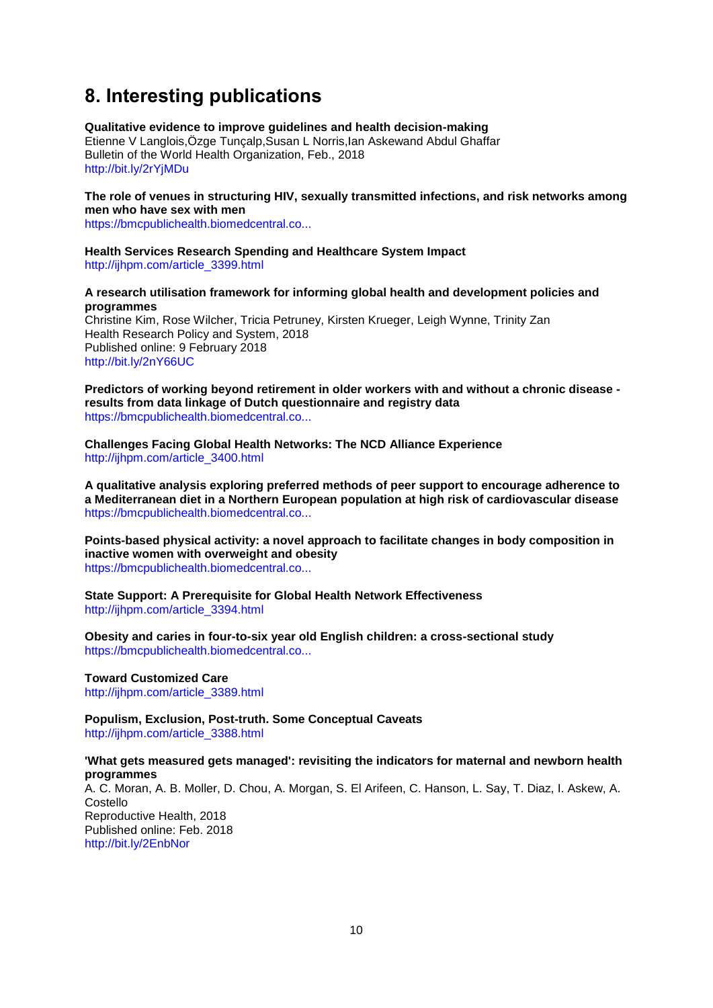# <span id="page-9-0"></span>**8. Interesting publications**

**Qualitative evidence to improve guidelines and health decision-making** Etienne V Langlois,Özge Tunçalp,Susan L Norris,Ian Askewand Abdul Ghaffar Bulletin of the World Health Organization, Feb., 2018 <http://bit.ly/2rYjMDu>

**The role of venues in structuring HIV, sexually transmitted infections, and risk networks among men who have sex with men**

[https://bmcpublichealth.biomedcentral.co...](https://bmcpublichealth.biomedcentral.com/articles/10.1186/s12889-018-5140-3)

**Health Services Research Spending and Healthcare System Impact** [http://ijhpm.com/article\\_3399.html](http://ijhpm.com/article_3399.html)

**A research utilisation framework for informing global health and development policies and programmes**

Christine Kim, Rose Wilcher, Tricia Petruney, Kirsten Krueger, Leigh Wynne, Trinity Zan Health Research Policy and System, 2018 Published online: 9 February 2018 <http://bit.ly/2nY66UC>

**Predictors of working beyond retirement in older workers with and without a chronic disease results from data linkage of Dutch questionnaire and registry data** [https://bmcpublichealth.biomedcentral.co...](https://bmcpublichealth.biomedcentral.com/articles/10.1186/s12889-018-5151-0)

**Challenges Facing Global Health Networks: The NCD Alliance Experience** [http://ijhpm.com/article\\_3400.html](http://ijhpm.com/article_3400.html)

**A qualitative analysis exploring preferred methods of peer support to encourage adherence to a Mediterranean diet in a Northern European population at high risk of cardiovascular disease** [https://bmcpublichealth.biomedcentral.co...](https://bmcpublichealth.biomedcentral.com/articles/10.1186/s12889-018-5078-5)

**Points-based physical activity: a novel approach to facilitate changes in body composition in inactive women with overweight and obesity** [https://bmcpublichealth.biomedcentral.co...](https://bmcpublichealth.biomedcentral.com/articles/10.1186/s12889-018-5125-2)

**State Support: A Prerequisite for Global Health Network Effectiveness** [http://ijhpm.com/article\\_3394.html](http://ijhpm.com/article_3394.html)

**Obesity and caries in four-to-six year old English children: a cross-sectional study** [https://bmcpublichealth.biomedcentral.co...](https://bmcpublichealth.biomedcentral.com/articles/10.1186/s12889-018-5156-8)

**Toward Customized Care** [http://ijhpm.com/article\\_3389.html](http://ijhpm.com/article_3389.html)

**Populism, Exclusion, Post-truth. Some Conceptual Caveats** [http://ijhpm.com/article\\_3388.html](http://ijhpm.com/article_3388.html)

**'What gets measured gets managed': revisiting the indicators for maternal and newborn health programmes**  A. C. Moran, A. B. Moller, D. Chou, A. Morgan, S. El Arifeen, C. Hanson, L. Say, T. Diaz, I. Askew, A. Costello Reproductive Health, 2018 Published online: Feb. 2018 <http://bit.ly/2EnbNor>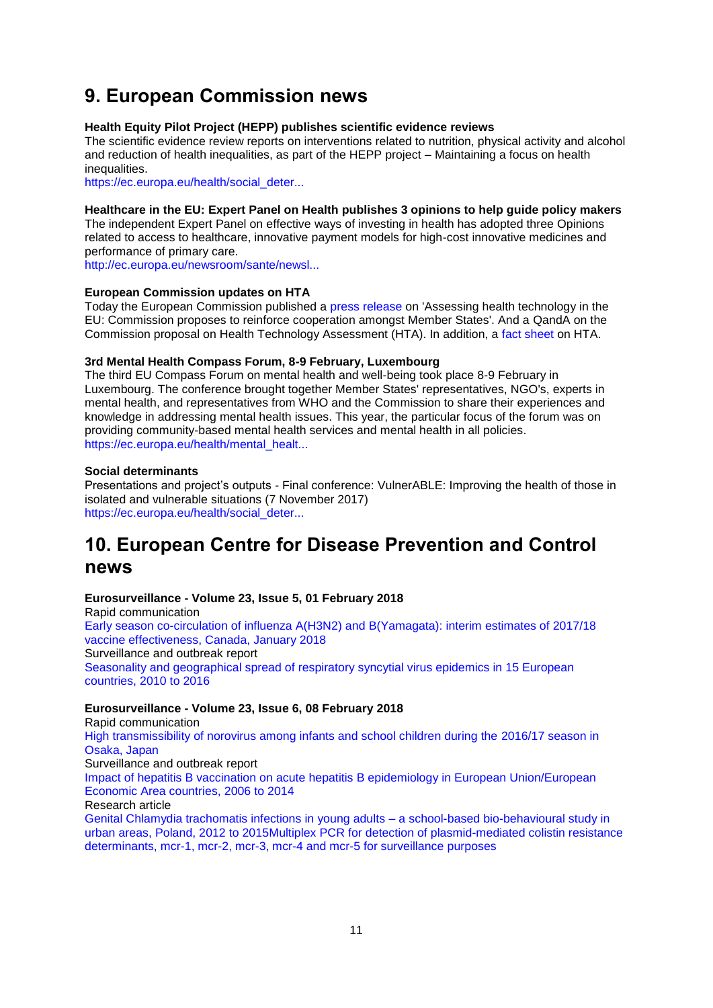# <span id="page-10-0"></span>**9. European Commission news**

### **Health Equity Pilot Project (HEPP) publishes scientific evidence reviews**

The scientific evidence review reports on interventions related to nutrition, physical activity and alcohol and reduction of health inequalities, as part of the HEPP project – Maintaining a focus on health inequalities.

[https://ec.europa.eu/health/social\\_deter...](https://ec.europa.eu/health/social_determinants/projects/ep_funded_projects_en#fragment1)

### **Healthcare in the EU: Expert Panel on Health publishes 3 opinions to help guide policy makers**

The independent Expert Panel on effective ways of investing in health has adopted three Opinions related to access to healthcare, innovative payment models for high-cost innovative medicines and performance of primary care.

[http://ec.europa.eu/newsroom/sante/newsl...](http://ec.europa.eu/newsroom/sante/newsletter-specific-archive-issue.cfm?newsletter_service_id=327&newsletter_issue_id=7191&page=1&fullDate=Sun%2002%20Sep%202018&lang=default)

## **European Commission updates on HTA**

Today the European Commission published a [press release](http://europa.eu/rapid/press-release_IP-18-486_en.htm) on 'Assessing health technology in the EU: Commission proposes to reinforce cooperation amongst Member States'. And a [QandA](http://europa.eu/rapid/press-release_MEMO-18-487_en.htm) on the Commission proposal on Health Technology Assessment (HTA). In addition, a [fact sheet](https://ec.europa.eu/health/sites/health/files/technology_assessment/docs/2018_factsheet_en.pdf) on HTA.

## **3rd Mental Health Compass Forum, 8-9 February, Luxembourg**

The third EU Compass Forum on mental health and well-being took place 8-9 February in Luxembourg. The conference brought together Member States' representatives, NGO's, experts in mental health, and representatives from WHO and the Commission to share their experiences and knowledge in addressing mental health issues. This year, the particular focus of the forum was on providing community-based mental health services and mental health in all policies. [https://ec.europa.eu/health/mental\\_healt...](https://ec.europa.eu/health/mental_health/events/ev_20180208_en#5)

## **Social determinants**

Presentations and project's outputs - Final conference: VulnerABLE: Improving the health of those in isolated and vulnerable situations (7 November 2017) [https://ec.europa.eu/health/social\\_deter...](https://ec.europa.eu/health/social_determinants/events/ev_20171107_en)

# <span id="page-10-1"></span>**10. European Centre for Disease Prevention and Control news**

#### **Eurosurveillance - Volume 23, Issue 5, 01 February 2018**

Rapid communication [Early season co-circulation of influenza A\(H3N2\) and B\(Yamagata\): interim estimates of 2017/18](http://www.eurosurveillance.org/content/10.2807/1560-7917.ES.2018.23.5.18-00035)  [vaccine effectiveness, Canada, January 2018](http://www.eurosurveillance.org/content/10.2807/1560-7917.ES.2018.23.5.18-00035) Surveillance and outbreak report [Seasonality and geographical spread of respiratory syncytial virus epidemics in 15 European](http://www.eurosurveillance.org/content/10.2807/1560-7917.ES.2018.23.5.17-00284)  [countries, 2010 to 2016](http://www.eurosurveillance.org/content/10.2807/1560-7917.ES.2018.23.5.17-00284)

# **Eurosurveillance - Volume 23, Issue 6, 08 February 2018**

Rapid communication [High transmissibility of norovirus among infants and school children during the 2016/17 season in](http://www.eurosurveillance.org/content/10.2807/1560-7917.ES.2018.23.6.18-00029)  [Osaka, Japan](http://www.eurosurveillance.org/content/10.2807/1560-7917.ES.2018.23.6.18-00029) Surveillance and outbreak report [Impact of hepatitis B vaccination on acute hepatitis B epidemiology in European Union/European](http://www.eurosurveillance.org/content/10.2807/1560-7917.ES.2018.23.6.17-00278)  [Economic Area countries, 2006 to 2014](http://www.eurosurveillance.org/content/10.2807/1560-7917.ES.2018.23.6.17-00278) Research article [Genital Chlamydia trachomatis infections in young adults –](http://www.eurosurveillance.org/content/10.2807/1560-7917.ES.2018.23.6.17-00087) a school-based bio-behavioural study in [urban areas, Poland, 2012 to 2015](http://www.eurosurveillance.org/content/10.2807/1560-7917.ES.2018.23.6.17-00087)[Multiplex PCR for detection of plasmid-mediated colistin resistance](http://www.eurosurveillance.org/content/10.2807/1560-7917.ES.2018.23.6.17-00672)  [determinants, mcr-1, mcr-2, mcr-3, mcr-4 and mcr-5 for surveillance purposes](http://www.eurosurveillance.org/content/10.2807/1560-7917.ES.2018.23.6.17-00672)